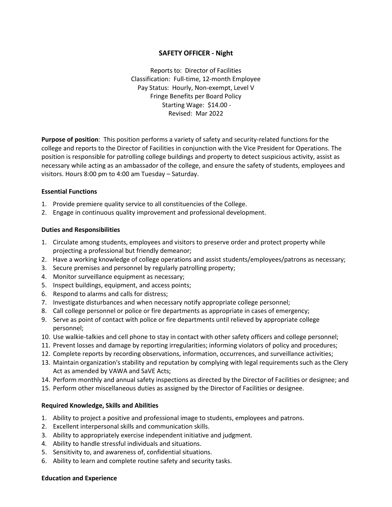# **SAFETY OFFICER - Night**

Reports to: Director of Facilities Classification: Full-time, 12*-*month Employee Pay Status: Hourly, Non-exempt, Level V Fringe Benefits per Board Policy Starting Wage: \$14.00 - Revised: Mar 2022

**Purpose of position**: This position performs a variety of safety and security-related functions for the college and reports to the Director of Facilities in conjunction with the Vice President for Operations. The position is responsible for patrolling college buildings and property to detect suspicious activity, assist as necessary while acting as an ambassador of the college, and ensure the safety of students, employees and visitors. Hours 8:00 pm to 4:00 am Tuesday – Saturday.

## **Essential Functions**

- 1. Provide premiere quality service to all constituencies of the College.
- 2. Engage in continuous quality improvement and professional development.

### **Duties and Responsibilities**

- 1. Circulate among students, employees and visitors to preserve order and protect property while projecting a professional but friendly demeanor;
- 2. Have a working knowledge of college operations and assist students/employees/patrons as necessary;
- 3. Secure premises and personnel by regularly patrolling property;
- 4. Monitor surveillance equipment as necessary;
- 5. Inspect buildings, equipment, and access points;
- 6. Respond to alarms and calls for distress;
- 7. Investigate disturbances and when necessary notify appropriate college personnel;
- 8. Call college personnel or police or fire departments as appropriate in cases of emergency;
- 9. Serve as point of contact with police or fire departments until relieved by appropriate college personnel;
- 10. Use walkie-talkies and cell phone to stay in contact with other safety officers and college personnel;
- 11. Prevent losses and damage by reporting irregularities; informing violators of policy and procedures;
- 12. Complete reports by recording observations, information, occurrences, and surveillance activities;
- 13. Maintain organization's stability and reputation by complying with legal requirements such as the Clery Act as amended by VAWA and SaVE Acts;
- 14. Perform monthly and annual safety inspections as directed by the Director of Facilities or designee; and
- 15. Perform other miscellaneous duties as assigned by the Director of Facilities or designee.

#### **Required Knowledge, Skills and Abilities**

- 1. Ability to project a positive and professional image to students, employees and patrons.
- 2. Excellent interpersonal skills and communication skills.
- 3. Ability to appropriately exercise independent initiative and judgment.
- 4. Ability to handle stressful individuals and situations.
- 5. Sensitivity to, and awareness of, confidential situations.
- 6. Ability to learn and complete routine safety and security tasks.

#### **Education and Experience**